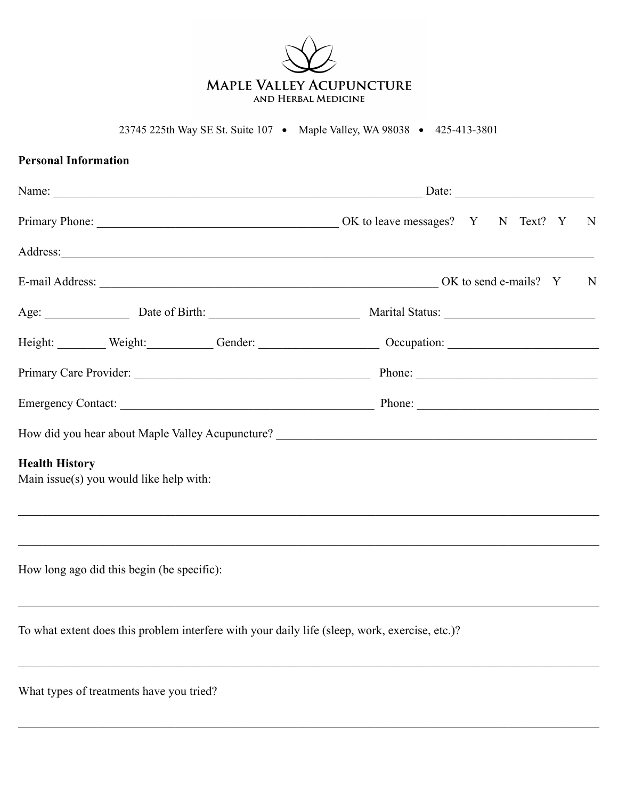

23745 225th Way SE St. Suite 107 • Maple Valley, WA 98038 • 425-413-3801

| <b>Personal Information</b> |                                            |                                                                                                                 |  |   |
|-----------------------------|--------------------------------------------|-----------------------------------------------------------------------------------------------------------------|--|---|
|                             |                                            |                                                                                                                 |  |   |
|                             |                                            |                                                                                                                 |  | N |
|                             |                                            |                                                                                                                 |  |   |
|                             |                                            |                                                                                                                 |  |   |
|                             |                                            | Age: <u>National Birth: National Birth:</u> National Status: National Status:                                   |  |   |
|                             |                                            | Height: Weight: Weight: Gender: Cender: Occupation: Central Constanting Community Community Community Community |  |   |
|                             |                                            |                                                                                                                 |  |   |
|                             |                                            |                                                                                                                 |  |   |
|                             |                                            |                                                                                                                 |  |   |
| <b>Health History</b>       | Main issue(s) you would like help with:    |                                                                                                                 |  |   |
|                             | How long ago did this begin (be specific): | ,我们也不能在这里的人,我们也不能在这里的人,我们也不能在这里的人,我们也不能在这里的人,我们也不能在这里的人,我们也不能在这里的人,我们也不能在这里的人,我们也                               |  |   |
|                             |                                            | To what extent does this problem interfere with your daily life (sleep, work, exercise, etc.)?                  |  |   |
|                             | What types of treatments have you tried?   |                                                                                                                 |  |   |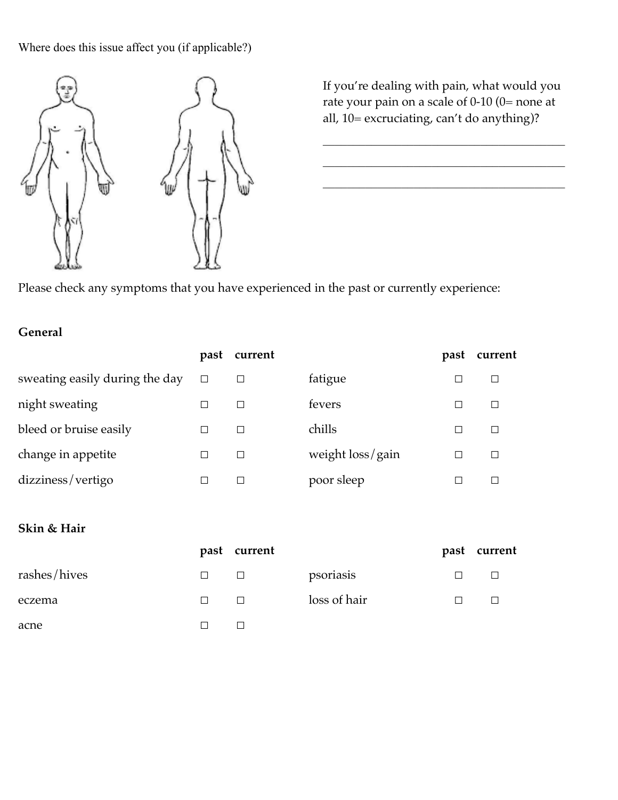Where does this issue affect you (if applicable?)



If you're dealing with pain, what would you rate your pain on a scale of 0-10 (0= none at all, 10= excruciating, can't do anything)?

 $\mathcal{L}_\text{max}$ 

 $\mathcal{L}_\text{max}$ 

 $\mathcal{L}_\text{max}$ 

Please check any symptoms that you have experienced in the past or currently experience:

#### **General**

|                                | past | current |                  | past | current |
|--------------------------------|------|---------|------------------|------|---------|
| sweating easily during the day |      |         | fatigue          |      | П       |
| night sweating                 |      |         | fevers           |      | $\Box$  |
| bleed or bruise easily         |      |         | chills           |      | П       |
| change in appetite             |      | $\Box$  | weight loss/gain | I.   | $\Box$  |
| dizziness/vertigo              |      |         | poor sleep       |      |         |

#### **Skin & Hair**

|              |        | past current |              | past | current |
|--------------|--------|--------------|--------------|------|---------|
| rashes/hives | ⊔      | $\Box$       | psoriasis    |      |         |
| eczema       | $\Box$ | $\Box$       | loss of hair |      |         |
| acne         |        | $\Box$       |              |      |         |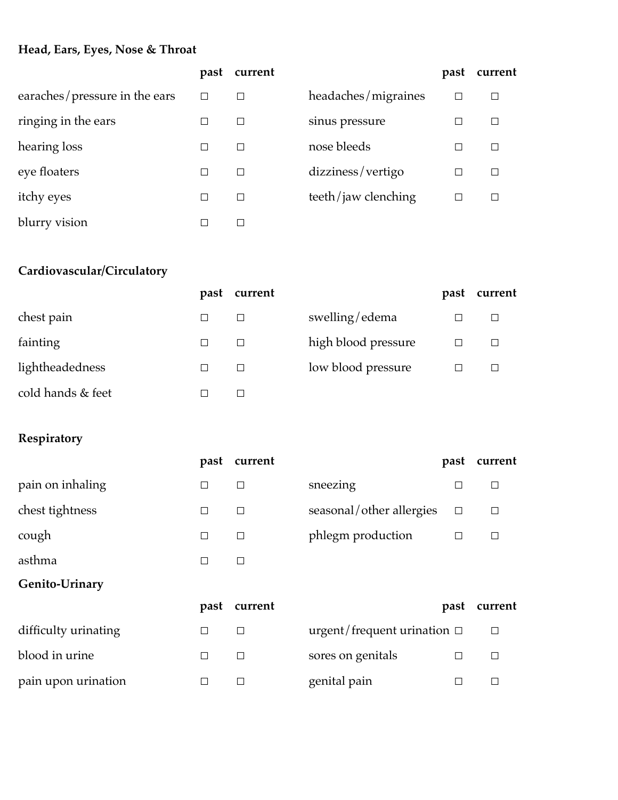#### **Head, Ears, Eyes, Nose & Throat**

|                               | past   | current |                     | past | current |
|-------------------------------|--------|---------|---------------------|------|---------|
| earaches/pressure in the ears | $\Box$ |         | headaches/migraines |      | $\Box$  |
| ringing in the ears           |        |         | sinus pressure      |      | П       |
| hearing loss                  | □      |         | nose bleeds         |      | П       |
| eye floaters                  | □      |         | dizziness/vertigo   |      | $\Box$  |
| itchy eyes                    | □      |         | teeth/jaw clenching | ⊏    | П       |
| blurry vision                 |        |         |                     |      |         |

# **Cardiovascular/Circulatory**

|                   | past | current |                     | past | current |
|-------------------|------|---------|---------------------|------|---------|
| chest pain        |      |         | swelling/edema      |      | $\Box$  |
| fainting          |      |         | high blood pressure |      | □       |
| lightheadedness   | □    | П       | low blood pressure  |      | П       |
| cold hands & feet |      |         |                     |      |         |

# **Respiratory**

|                  | past   | current |                          | past   | current |
|------------------|--------|---------|--------------------------|--------|---------|
| pain on inhaling | $\Box$ | $\Box$  | sneezing                 | $\Box$ | $\Box$  |
| chest tightness  | $\Box$ | $\Box$  | seasonal/other allergies | $\Box$ | $\Box$  |
| cough            | $\Box$ | $\Box$  | phlegm production        | $\Box$ | $\Box$  |
| asthma           | $\Box$ | $\Box$  |                          |        |         |
| Genito-Urinary   |        |         |                          |        |         |
|                  | past   | current |                          | past   | current |

|                      | past current |                                  | past curren |
|----------------------|--------------|----------------------------------|-------------|
| difficulty urinating |              | urgent/frequent urination $\Box$ | $\Box$      |
| blood in urine       |              | sores on genitals                |             |
| pain upon urination  |              | genital pain                     |             |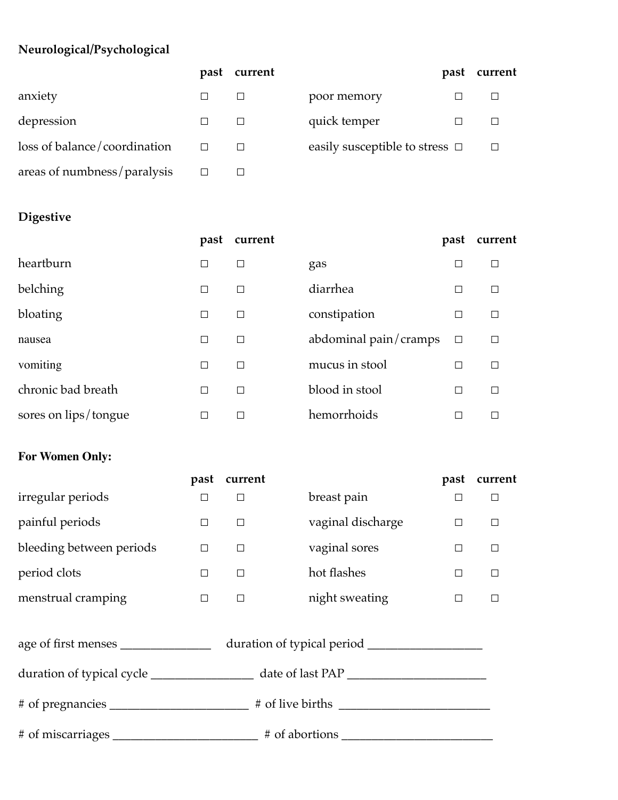# **Neurological/Psychological**

|                              | past | current |                                     | past | current |
|------------------------------|------|---------|-------------------------------------|------|---------|
| anxiety                      |      |         | poor memory                         |      |         |
| depression                   |      |         | quick temper                        |      |         |
| loss of balance/coordination |      |         | easily susceptible to stress $\Box$ |      | П       |
| areas of numbness/paralysis  |      |         |                                     |      |         |

# **Digestive**

|                      | past                     | current       |                       | past   | current |
|----------------------|--------------------------|---------------|-----------------------|--------|---------|
| heartburn            | $\Box$                   |               | gas                   | $\Box$ |         |
| belching             | $\Box$                   | П             | diarrhea              | $\Box$ | П       |
| bloating             | $\Box$                   | $\Box$        | constipation          | $\Box$ | П       |
| nausea               | $\Box$                   | $\Box$        | abdominal pain/cramps | $\Box$ | $\Box$  |
| vomiting             | □                        | П             | mucus in stool        | □      | П       |
| chronic bad breath   | □                        | $\Box$        | blood in stool        | $\Box$ | $\Box$  |
| sores on lips/tongue | $\overline{\phantom{a}}$ | $\mathcal{L}$ | hemorrhoids           | ┘      | $\Box$  |

### **For Women Only:**

|                                     | past   | current |                   | past   | current |  |
|-------------------------------------|--------|---------|-------------------|--------|---------|--|
| irregular periods                   | $\Box$ | $\Box$  | breast pain       |        | $\Box$  |  |
| painful periods                     | $\Box$ | $\Box$  | vaginal discharge | $\Box$ | $\Box$  |  |
| bleeding between periods            | $\Box$ | $\Box$  | vaginal sores     | $\Box$ | $\Box$  |  |
| period clots                        | $\Box$ | $\Box$  | hot flashes       | $\Box$ | $\Box$  |  |
| menstrual cramping                  | $\Box$ | $\Box$  | night sweating    |        | $\Box$  |  |
| age of first menses _______________ |        |         |                   |        |         |  |
|                                     |        |         |                   |        |         |  |
|                                     |        |         |                   |        |         |  |
| # of miscarriages # of abortions    |        |         |                   |        |         |  |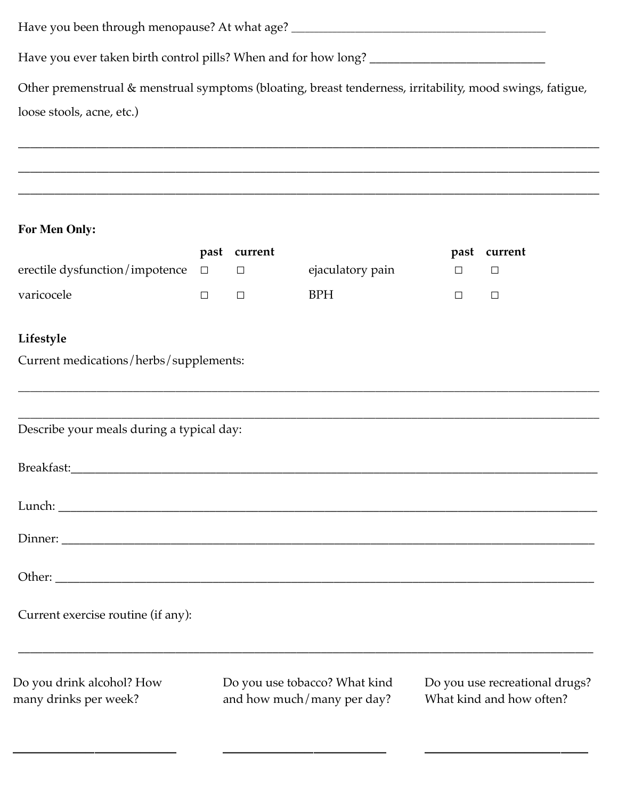Have you been through menopause? At what age? \_\_\_\_\_\_\_\_\_\_\_\_\_\_\_\_\_\_\_\_\_\_\_\_\_\_\_\_\_\_\_\_\_\_\_\_\_\_\_\_\_\_\_\_\_\_\_\_\_\_\_\_\_\_\_\_

Have you ever taken birth control pills? When and for how long? \_\_\_\_\_\_\_\_\_\_\_\_\_\_\_\_\_\_\_\_\_\_\_\_\_\_\_\_\_

Other premenstrual & menstrual symptoms (bloating, breast tenderness, irritability, mood swings, fatigue, loose stools, acne, etc.)

\_\_\_\_\_\_\_\_\_\_\_\_\_\_\_\_\_\_\_\_\_\_\_\_\_\_\_\_\_\_\_\_\_\_\_\_\_\_\_\_\_\_\_\_\_\_\_\_\_\_\_\_\_\_\_\_\_\_\_\_\_\_\_\_\_\_\_\_\_\_\_\_\_\_\_\_\_\_\_\_\_\_\_\_\_\_\_\_\_\_\_\_\_\_\_\_

\_\_\_\_\_\_\_\_\_\_\_\_\_\_\_\_\_\_\_\_\_\_\_\_\_\_\_\_\_\_\_\_\_\_\_\_\_\_\_\_\_\_\_\_\_\_\_\_\_\_\_\_\_\_\_\_\_\_\_\_\_\_\_\_\_\_\_\_\_\_\_\_\_\_\_\_\_\_\_\_\_\_\_\_\_\_\_\_\_\_\_\_\_\_\_\_

\_\_\_\_\_\_\_\_\_\_\_\_\_\_\_\_\_\_\_\_\_\_\_\_\_\_\_\_\_\_\_\_\_\_\_\_\_\_\_\_\_\_\_\_\_\_\_\_\_\_\_\_\_\_\_\_\_\_\_\_\_\_\_\_\_\_\_\_\_\_\_\_\_\_\_\_\_\_\_\_\_\_\_\_\_\_\_\_\_\_\_\_\_\_\_\_

#### **For Men Only:**

\_\_\_\_\_\_\_\_\_\_\_\_\_\_\_\_\_\_

|                                           |        | past current |                               |        | past current                   |
|-------------------------------------------|--------|--------------|-------------------------------|--------|--------------------------------|
| erectile dysfunction/impotence            | $\Box$ | $\Box$       | ejaculatory pain              | $\Box$ | $\Box$                         |
| varicocele                                | $\Box$ | $\Box$       | <b>BPH</b>                    | $\Box$ | $\Box$                         |
|                                           |        |              |                               |        |                                |
| Lifestyle                                 |        |              |                               |        |                                |
| Current medications/herbs/supplements:    |        |              |                               |        |                                |
|                                           |        |              |                               |        |                                |
|                                           |        |              |                               |        |                                |
| Describe your meals during a typical day: |        |              |                               |        |                                |
|                                           |        |              |                               |        |                                |
|                                           |        |              |                               |        |                                |
|                                           |        |              |                               |        |                                |
|                                           |        |              |                               |        |                                |
|                                           |        |              |                               |        |                                |
|                                           |        |              |                               |        |                                |
|                                           |        |              |                               |        |                                |
| Current exercise routine (if any):        |        |              |                               |        |                                |
|                                           |        |              |                               |        |                                |
|                                           |        |              |                               |        |                                |
| Do you drink alcohol? How                 |        |              | Do you use tobacco? What kind |        | Do you use recreational drugs? |
| many drinks per week?                     |        |              | and how much/many per day?    |        | What kind and how often?       |
|                                           |        |              |                               |        |                                |

\_\_\_\_\_\_\_\_\_\_\_\_\_\_\_\_\_\_

\_\_\_\_\_\_\_\_\_\_\_\_\_\_\_\_\_\_